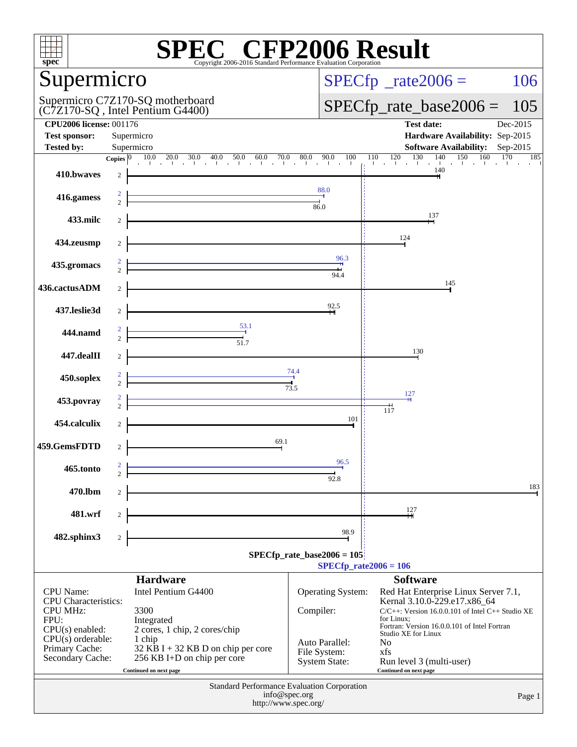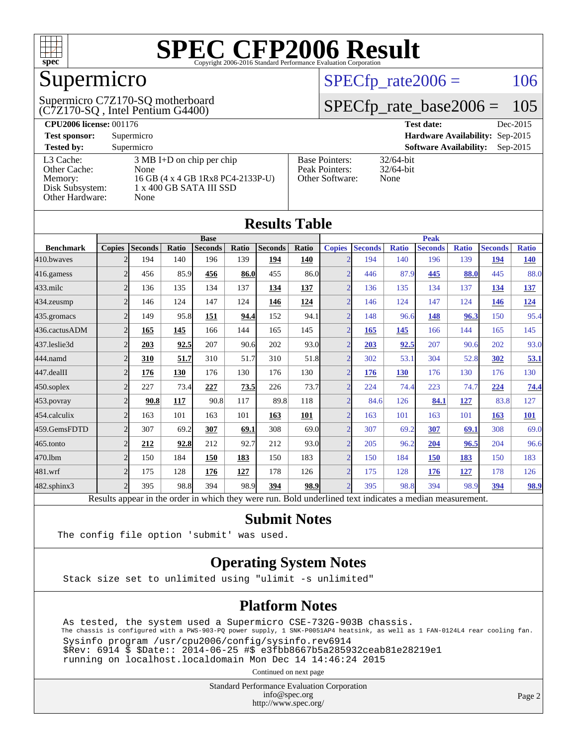

## Supermicro

(C7Z170-SQ , Intel Pentium G4400) Supermicro C7Z170-SQ motherboard  $SPECTp_rate2006 = 106$ 

### [SPECfp\\_rate\\_base2006 =](http://www.spec.org/auto/cpu2006/Docs/result-fields.html#SPECfpratebase2006) 105

| <b>CPU2006 license: 001176</b> |                                     |                                 | Dec-2015<br><b>Test date:</b>               |  |  |  |  |
|--------------------------------|-------------------------------------|---------------------------------|---------------------------------------------|--|--|--|--|
| <b>Test sponsor:</b>           | Supermicro                          | Hardware Availability: Sep-2015 |                                             |  |  |  |  |
| <b>Tested by:</b>              | Supermicro                          |                                 | <b>Software Availability:</b><br>$Sep-2015$ |  |  |  |  |
| L3 Cache:                      | $3 \text{ MB I+D}$ on chip per chip | <b>Base Pointers:</b>           | $32/64$ -bit                                |  |  |  |  |
| Other Cache:                   | None                                | Peak Pointers:                  | $32/64$ -bit                                |  |  |  |  |
| Memory:                        | 16 GB (4 x 4 GB 1Rx8 PC4-2133P-U)   | Other Software:                 | None                                        |  |  |  |  |
| Disk Subsystem:                | 1 x 400 GB SATA III SSD             |                                 |                                             |  |  |  |  |
| Other Hardware:                | None                                |                                 |                                             |  |  |  |  |

|                  |                |                |       |                                                                                                          |             | <b>Results Table</b> |              |                          |                |              |                |              |                |              |
|------------------|----------------|----------------|-------|----------------------------------------------------------------------------------------------------------|-------------|----------------------|--------------|--------------------------|----------------|--------------|----------------|--------------|----------------|--------------|
|                  |                |                |       | <b>Base</b>                                                                                              |             |                      |              |                          |                |              | <b>Peak</b>    |              |                |              |
| <b>Benchmark</b> | <b>Copies</b>  | <b>Seconds</b> | Ratio | <b>Seconds</b>                                                                                           | Ratio       | <b>Seconds</b>       | <b>Ratio</b> | <b>Copies</b>            | <b>Seconds</b> | <b>Ratio</b> | <b>Seconds</b> | <b>Ratio</b> | <b>Seconds</b> | <b>Ratio</b> |
| 410.bwayes       |                | 194            | 140   | 196                                                                                                      | 139         | 194                  | 140          |                          | 194            | 140          | 196            | 139          | 194            | <u>140</u>   |
| 416.gamess       | $\overline{2}$ | 456            | 85.9  | 456                                                                                                      | 86.0        | 455                  | 86.0         | $\mathcal{D}$            | 446            | 87.9         | 445            | 88.0         | 445            | 88.0         |
| $433$ .milc      | $\overline{2}$ | 136            | 135   | 134                                                                                                      | 137         | 134                  | 137          | $\overline{2}$           | 136            | 135          | 134            | 137          | 134            | <u>137</u>   |
| 434.zeusmp       | $\overline{2}$ | 146            | 124   | 147                                                                                                      | 124         | 146                  | 124          | $\mathcal{D}$            | 146            | 124          | 147            | 124          | 146            | <u>124</u>   |
| 435.gromacs      | $\overline{2}$ | 149            | 95.8  | 151                                                                                                      | 94.4        | 152                  | 94.1         | $\mathcal{D}$            | 148            | 96.6         | 148            | 96.3         | 150            | 95.4         |
| 436.cactusADM    | $\overline{2}$ | 165            | 145   | 166                                                                                                      | 144         | 165                  | 145          | $\overline{\mathcal{L}}$ | 165            | 145          | 166            | 144          | 165            | 145          |
| 437.leslie3d     | $\overline{2}$ | 203            | 92.5  | 207                                                                                                      | 90.6        | 202                  | 93.0         | $\mathcal{D}$            | 203            | 92.5         | 207            | 90.6         | 202            | 93.0         |
| 444.namd         | $\overline{2}$ | 310            | 51.7  | 310                                                                                                      | 51.7        | 310                  | 51.8         | $\Omega$                 | 302            | 53.1         | 304            | 52.8         | 302            | 53.1         |
| 447.dealII       | $\overline{2}$ | 176            | 130   | 176                                                                                                      | 130         | 176                  | 130          | $\overline{2}$           | 176            | <b>130</b>   | 176            | 130          | 176            | 130          |
| 450.soplex       | $\overline{2}$ | 227            | 73.4  | 227                                                                                                      | <b>73.5</b> | 226                  | 73.7         | $\mathcal{D}$            | 224            | 74.4         | 223            | 74.7         | 224            | 74.4         |
| 453.povray       | $\overline{2}$ | 90.8           | 117   | 90.8                                                                                                     | 117         | 89.8                 | 118          | $\mathcal{D}$            | 84.6           | 126          | 84.1           | 127          | 83.8           | 127          |
| 454.calculix     | $\overline{2}$ | 163            | 101   | 163                                                                                                      | 101         | 163                  | 101          | $\mathcal{D}$            | 163            | 101          | 163            | 101          | 163            | 101          |
| 459.GemsFDTD     | $\overline{2}$ | 307            | 69.2  | 307                                                                                                      | 69.1        | 308                  | 69.0         | $\bigcap$                | 307            | 69.2         | 307            | 69.1         | 308            | 69.0         |
| 465.tonto        | $\overline{2}$ | 212            | 92.8  | 212                                                                                                      | 92.7        | 212                  | 93.0         | $\mathcal{D}$            | 205            | 96.2         | 204            | 96.5         | 204            | 96.6         |
| 470.1bm          | $\overline{2}$ | 150            | 184   | 150                                                                                                      | 183         | 150                  | 183          | $\mathcal{D}$            | 150            | 184          | 150            | 183          | 150            | 183          |
| 481.wrf          | $\overline{2}$ | 175            | 128   | 176                                                                                                      | 127         | 178                  | 126          | $\mathfrak{D}$           | 175            | 128          | 176            | 127          | 178            | 126          |
| 482.sphinx3      | $\overline{2}$ | 395            | 98.8  | 394                                                                                                      | 98.9        | 394                  | 98.9         | $\mathcal{D}$            | 395            | 98.8         | 394            | 98.9         | 394            | 98.9         |
|                  |                |                |       | Results appear in the order in which they were run. Bold underlined text indicates a median measurement. |             |                      |              |                          |                |              |                |              |                |              |

#### **[Submit Notes](http://www.spec.org/auto/cpu2006/Docs/result-fields.html#SubmitNotes)**

The config file option 'submit' was used.

#### **[Operating System Notes](http://www.spec.org/auto/cpu2006/Docs/result-fields.html#OperatingSystemNotes)**

Stack size set to unlimited using "ulimit -s unlimited"

#### **[Platform Notes](http://www.spec.org/auto/cpu2006/Docs/result-fields.html#PlatformNotes)**

 As tested, the system used a Supermicro CSE-732G-903B chassis. The chassis is configured with a PWS-903-PQ power supply, 1 SNK-P0051AP4 heatsink, as well as 1 FAN-0124L4 rear cooling fan. Sysinfo program /usr/cpu2006/config/sysinfo.rev6914 \$Rev: 6914 \$ \$Date:: 2014-06-25 #\$ e3fbb8667b5a285932ceab81e28219e1 running on localhost.localdomain Mon Dec 14 14:46:24 2015

Continued on next page

Standard Performance Evaluation Corporation [info@spec.org](mailto:info@spec.org) <http://www.spec.org/>

Page 2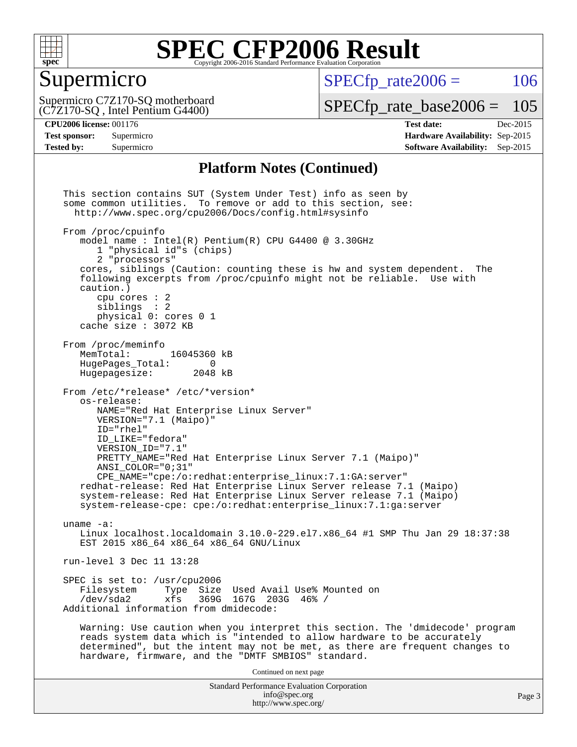

#### Supermicro

 $SPECTp\_rate2006 = 106$ 

(C7Z170-SQ , Intel Pentium G4400) Supermicro C7Z170-SQ motherboard

[SPECfp\\_rate\\_base2006 =](http://www.spec.org/auto/cpu2006/Docs/result-fields.html#SPECfpratebase2006) 105

**[CPU2006 license:](http://www.spec.org/auto/cpu2006/Docs/result-fields.html#CPU2006license)** 001176 **[Test date:](http://www.spec.org/auto/cpu2006/Docs/result-fields.html#Testdate)** Dec-2015 **[Test sponsor:](http://www.spec.org/auto/cpu2006/Docs/result-fields.html#Testsponsor)** Supermicro **[Hardware Availability:](http://www.spec.org/auto/cpu2006/Docs/result-fields.html#HardwareAvailability)** Sep-2015 **[Tested by:](http://www.spec.org/auto/cpu2006/Docs/result-fields.html#Testedby)** Supermicro **Supermicro [Software Availability:](http://www.spec.org/auto/cpu2006/Docs/result-fields.html#SoftwareAvailability)** Sep-2015

#### **[Platform Notes \(Continued\)](http://www.spec.org/auto/cpu2006/Docs/result-fields.html#PlatformNotes)**

Standard Performance Evaluation Corporation [info@spec.org](mailto:info@spec.org) <http://www.spec.org/> Page 3 This section contains SUT (System Under Test) info as seen by some common utilities. To remove or add to this section, see: <http://www.spec.org/cpu2006/Docs/config.html#sysinfo> From /proc/cpuinfo model name : Intel(R) Pentium(R) CPU G4400 @ 3.30GHz 1 "physical id"s (chips) 2 "processors" cores, siblings (Caution: counting these is hw and system dependent. The following excerpts from /proc/cpuinfo might not be reliable. Use with caution.) cpu cores : 2 siblings : 2 physical 0: cores 0 1 cache size : 3072 KB From /proc/meminfo MemTotal: 16045360 kB<br>HugePages Total: 0 HugePages\_Total: 0 Hugepagesize: 2048 kB From /etc/\*release\* /etc/\*version\* os-release: NAME="Red Hat Enterprise Linux Server" VERSION="7.1 (Maipo)" ID="rhel" ID\_LIKE="fedora" VERSION\_ID="7.1" PRETTY\_NAME="Red Hat Enterprise Linux Server 7.1 (Maipo)" ANSI\_COLOR="0;31" CPE\_NAME="cpe:/o:redhat:enterprise\_linux:7.1:GA:server" redhat-release: Red Hat Enterprise Linux Server release 7.1 (Maipo) system-release: Red Hat Enterprise Linux Server release 7.1 (Maipo) system-release-cpe: cpe:/o:redhat:enterprise\_linux:7.1:ga:server uname -a: Linux localhost.localdomain 3.10.0-229.el7.x86\_64 #1 SMP Thu Jan 29 18:37:38 EST 2015 x86\_64 x86\_64 x86\_64 GNU/Linux run-level 3 Dec 11 13:28 SPEC is set to: /usr/cpu2006<br>Filesystem Type Size Type Size Used Avail Use% Mounted on /dev/sda2 xfs 369G 167G 203G 46% / Additional information from dmidecode: Warning: Use caution when you interpret this section. The 'dmidecode' program reads system data which is "intended to allow hardware to be accurately determined", but the intent may not be met, as there are frequent changes to hardware, firmware, and the "DMTF SMBIOS" standard. Continued on next page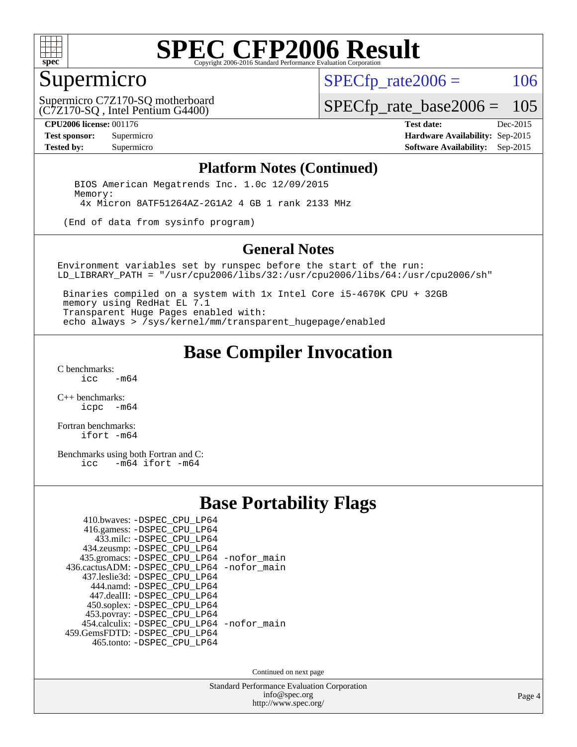

### Supermicro

 $SPECTp\_rate2006 = 106$ 

(C7Z170-SQ , Intel Pentium G4400) Supermicro C7Z170-SQ motherboard

[SPECfp\\_rate\\_base2006 =](http://www.spec.org/auto/cpu2006/Docs/result-fields.html#SPECfpratebase2006) 105

**[CPU2006 license:](http://www.spec.org/auto/cpu2006/Docs/result-fields.html#CPU2006license)** 001176 **[Test date:](http://www.spec.org/auto/cpu2006/Docs/result-fields.html#Testdate)** Dec-2015 **[Test sponsor:](http://www.spec.org/auto/cpu2006/Docs/result-fields.html#Testsponsor)** Supermicro **[Hardware Availability:](http://www.spec.org/auto/cpu2006/Docs/result-fields.html#HardwareAvailability)** Sep-2015 **[Tested by:](http://www.spec.org/auto/cpu2006/Docs/result-fields.html#Testedby)** Supermicro **Supermicro [Software Availability:](http://www.spec.org/auto/cpu2006/Docs/result-fields.html#SoftwareAvailability)** Sep-2015

#### **[Platform Notes \(Continued\)](http://www.spec.org/auto/cpu2006/Docs/result-fields.html#PlatformNotes)**

 BIOS American Megatrends Inc. 1.0c 12/09/2015 Memory: 4x Micron 8ATF51264AZ-2G1A2 4 GB 1 rank 2133 MHz

(End of data from sysinfo program)

#### **[General Notes](http://www.spec.org/auto/cpu2006/Docs/result-fields.html#GeneralNotes)**

Environment variables set by runspec before the start of the run: LD\_LIBRARY\_PATH = "/usr/cpu2006/libs/32:/usr/cpu2006/libs/64:/usr/cpu2006/sh"

 Binaries compiled on a system with 1x Intel Core i5-4670K CPU + 32GB memory using RedHat EL 7.1 Transparent Huge Pages enabled with: echo always > /sys/kernel/mm/transparent\_hugepage/enabled

#### **[Base Compiler Invocation](http://www.spec.org/auto/cpu2006/Docs/result-fields.html#BaseCompilerInvocation)**

[C benchmarks](http://www.spec.org/auto/cpu2006/Docs/result-fields.html#Cbenchmarks):  $-m64$ 

[C++ benchmarks:](http://www.spec.org/auto/cpu2006/Docs/result-fields.html#CXXbenchmarks) [icpc -m64](http://www.spec.org/cpu2006/results/res2016q1/cpu2006-20151217-38446.flags.html#user_CXXbase_intel_icpc_64bit_bedb90c1146cab66620883ef4f41a67e)

[Fortran benchmarks](http://www.spec.org/auto/cpu2006/Docs/result-fields.html#Fortranbenchmarks): [ifort -m64](http://www.spec.org/cpu2006/results/res2016q1/cpu2006-20151217-38446.flags.html#user_FCbase_intel_ifort_64bit_ee9d0fb25645d0210d97eb0527dcc06e)

[Benchmarks using both Fortran and C](http://www.spec.org/auto/cpu2006/Docs/result-fields.html#BenchmarksusingbothFortranandC):<br>icc -m64 ifort -m64  $-m64$  ifort  $-m64$ 

#### **[Base Portability Flags](http://www.spec.org/auto/cpu2006/Docs/result-fields.html#BasePortabilityFlags)**

| 410.bwaves: -DSPEC_CPU_LP64                 |  |
|---------------------------------------------|--|
| 416.gamess: -DSPEC_CPU_LP64                 |  |
| 433.milc: -DSPEC CPU LP64                   |  |
| 434.zeusmp: -DSPEC_CPU_LP64                 |  |
| 435.gromacs: -DSPEC_CPU_LP64 -nofor_main    |  |
| 436.cactusADM: -DSPEC CPU LP64 -nofor main  |  |
| 437.leslie3d: -DSPEC CPU LP64               |  |
| 444.namd: -DSPEC CPU LP64                   |  |
| 447.dealII: -DSPEC_CPU_LP64                 |  |
| 450.soplex: -DSPEC_CPU_LP64                 |  |
| 453.povray: -DSPEC_CPU_LP64                 |  |
| 454.calculix: - DSPEC CPU LP64 - nofor main |  |
| 459. GemsFDTD: - DSPEC CPU LP64             |  |
| 465.tonto: -DSPEC_CPU_LP64                  |  |

Continued on next page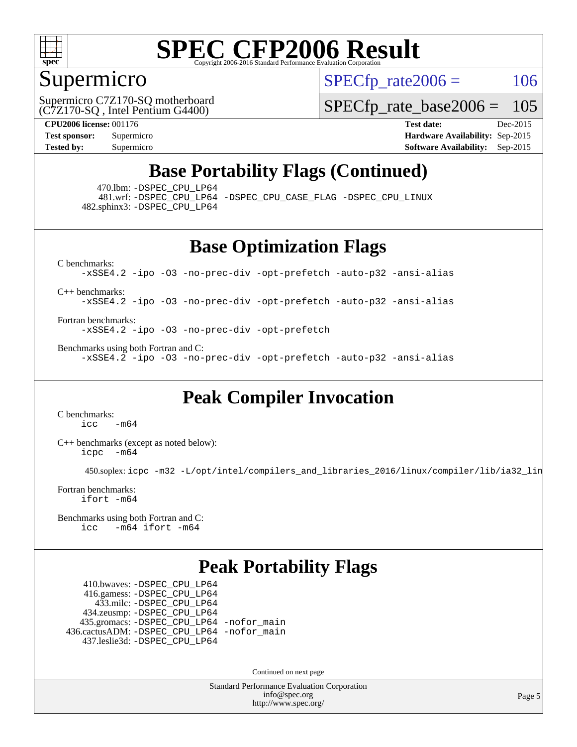

#### Supermicro

 $SPECTp\_rate2006 = 106$ 

(C7Z170-SQ , Intel Pentium G4400) Supermicro C7Z170-SQ motherboard

[SPECfp\\_rate\\_base2006 =](http://www.spec.org/auto/cpu2006/Docs/result-fields.html#SPECfpratebase2006) 105

**[CPU2006 license:](http://www.spec.org/auto/cpu2006/Docs/result-fields.html#CPU2006license)** 001176 **[Test date:](http://www.spec.org/auto/cpu2006/Docs/result-fields.html#Testdate)** Dec-2015 **[Test sponsor:](http://www.spec.org/auto/cpu2006/Docs/result-fields.html#Testsponsor)** Supermicro **[Hardware Availability:](http://www.spec.org/auto/cpu2006/Docs/result-fields.html#HardwareAvailability)** Sep-2015 **[Tested by:](http://www.spec.org/auto/cpu2006/Docs/result-fields.html#Testedby)** Supermicro **Supermicro [Software Availability:](http://www.spec.org/auto/cpu2006/Docs/result-fields.html#SoftwareAvailability)** Sep-2015

### **[Base Portability Flags \(Continued\)](http://www.spec.org/auto/cpu2006/Docs/result-fields.html#BasePortabilityFlags)**

470.lbm: [-DSPEC\\_CPU\\_LP64](http://www.spec.org/cpu2006/results/res2016q1/cpu2006-20151217-38446.flags.html#suite_basePORTABILITY470_lbm_DSPEC_CPU_LP64)

 481.wrf: [-DSPEC\\_CPU\\_LP64](http://www.spec.org/cpu2006/results/res2016q1/cpu2006-20151217-38446.flags.html#suite_basePORTABILITY481_wrf_DSPEC_CPU_LP64) [-DSPEC\\_CPU\\_CASE\\_FLAG](http://www.spec.org/cpu2006/results/res2016q1/cpu2006-20151217-38446.flags.html#b481.wrf_baseCPORTABILITY_DSPEC_CPU_CASE_FLAG) [-DSPEC\\_CPU\\_LINUX](http://www.spec.org/cpu2006/results/res2016q1/cpu2006-20151217-38446.flags.html#b481.wrf_baseCPORTABILITY_DSPEC_CPU_LINUX) 482.sphinx3: [-DSPEC\\_CPU\\_LP64](http://www.spec.org/cpu2006/results/res2016q1/cpu2006-20151217-38446.flags.html#suite_basePORTABILITY482_sphinx3_DSPEC_CPU_LP64)

**[Base Optimization Flags](http://www.spec.org/auto/cpu2006/Docs/result-fields.html#BaseOptimizationFlags)**

[C benchmarks](http://www.spec.org/auto/cpu2006/Docs/result-fields.html#Cbenchmarks): [-xSSE4.2](http://www.spec.org/cpu2006/results/res2016q1/cpu2006-20151217-38446.flags.html#user_CCbase_f-xSSE42_f91528193cf0b216347adb8b939d4107) [-ipo](http://www.spec.org/cpu2006/results/res2016q1/cpu2006-20151217-38446.flags.html#user_CCbase_f-ipo) [-O3](http://www.spec.org/cpu2006/results/res2016q1/cpu2006-20151217-38446.flags.html#user_CCbase_f-O3) [-no-prec-div](http://www.spec.org/cpu2006/results/res2016q1/cpu2006-20151217-38446.flags.html#user_CCbase_f-no-prec-div) [-opt-prefetch](http://www.spec.org/cpu2006/results/res2016q1/cpu2006-20151217-38446.flags.html#user_CCbase_f-opt-prefetch) [-auto-p32](http://www.spec.org/cpu2006/results/res2016q1/cpu2006-20151217-38446.flags.html#user_CCbase_f-auto-p32) [-ansi-alias](http://www.spec.org/cpu2006/results/res2016q1/cpu2006-20151217-38446.flags.html#user_CCbase_f-ansi-alias)

[C++ benchmarks:](http://www.spec.org/auto/cpu2006/Docs/result-fields.html#CXXbenchmarks)

[-xSSE4.2](http://www.spec.org/cpu2006/results/res2016q1/cpu2006-20151217-38446.flags.html#user_CXXbase_f-xSSE42_f91528193cf0b216347adb8b939d4107) [-ipo](http://www.spec.org/cpu2006/results/res2016q1/cpu2006-20151217-38446.flags.html#user_CXXbase_f-ipo) [-O3](http://www.spec.org/cpu2006/results/res2016q1/cpu2006-20151217-38446.flags.html#user_CXXbase_f-O3) [-no-prec-div](http://www.spec.org/cpu2006/results/res2016q1/cpu2006-20151217-38446.flags.html#user_CXXbase_f-no-prec-div) [-opt-prefetch](http://www.spec.org/cpu2006/results/res2016q1/cpu2006-20151217-38446.flags.html#user_CXXbase_f-opt-prefetch) [-auto-p32](http://www.spec.org/cpu2006/results/res2016q1/cpu2006-20151217-38446.flags.html#user_CXXbase_f-auto-p32) [-ansi-alias](http://www.spec.org/cpu2006/results/res2016q1/cpu2006-20151217-38446.flags.html#user_CXXbase_f-ansi-alias)

[Fortran benchmarks](http://www.spec.org/auto/cpu2006/Docs/result-fields.html#Fortranbenchmarks): [-xSSE4.2](http://www.spec.org/cpu2006/results/res2016q1/cpu2006-20151217-38446.flags.html#user_FCbase_f-xSSE42_f91528193cf0b216347adb8b939d4107) [-ipo](http://www.spec.org/cpu2006/results/res2016q1/cpu2006-20151217-38446.flags.html#user_FCbase_f-ipo) [-O3](http://www.spec.org/cpu2006/results/res2016q1/cpu2006-20151217-38446.flags.html#user_FCbase_f-O3) [-no-prec-div](http://www.spec.org/cpu2006/results/res2016q1/cpu2006-20151217-38446.flags.html#user_FCbase_f-no-prec-div) [-opt-prefetch](http://www.spec.org/cpu2006/results/res2016q1/cpu2006-20151217-38446.flags.html#user_FCbase_f-opt-prefetch)

[Benchmarks using both Fortran and C](http://www.spec.org/auto/cpu2006/Docs/result-fields.html#BenchmarksusingbothFortranandC): [-xSSE4.2](http://www.spec.org/cpu2006/results/res2016q1/cpu2006-20151217-38446.flags.html#user_CC_FCbase_f-xSSE42_f91528193cf0b216347adb8b939d4107) [-ipo](http://www.spec.org/cpu2006/results/res2016q1/cpu2006-20151217-38446.flags.html#user_CC_FCbase_f-ipo) [-O3](http://www.spec.org/cpu2006/results/res2016q1/cpu2006-20151217-38446.flags.html#user_CC_FCbase_f-O3) [-no-prec-div](http://www.spec.org/cpu2006/results/res2016q1/cpu2006-20151217-38446.flags.html#user_CC_FCbase_f-no-prec-div) [-opt-prefetch](http://www.spec.org/cpu2006/results/res2016q1/cpu2006-20151217-38446.flags.html#user_CC_FCbase_f-opt-prefetch) [-auto-p32](http://www.spec.org/cpu2006/results/res2016q1/cpu2006-20151217-38446.flags.html#user_CC_FCbase_f-auto-p32) [-ansi-alias](http://www.spec.org/cpu2006/results/res2016q1/cpu2006-20151217-38446.flags.html#user_CC_FCbase_f-ansi-alias)

**[Peak Compiler Invocation](http://www.spec.org/auto/cpu2006/Docs/result-fields.html#PeakCompilerInvocation)**

[C benchmarks](http://www.spec.org/auto/cpu2006/Docs/result-fields.html#Cbenchmarks):  $-m64$ 

[C++ benchmarks \(except as noted below\):](http://www.spec.org/auto/cpu2006/Docs/result-fields.html#CXXbenchmarksexceptasnotedbelow) [icpc -m64](http://www.spec.org/cpu2006/results/res2016q1/cpu2006-20151217-38446.flags.html#user_CXXpeak_intel_icpc_64bit_bedb90c1146cab66620883ef4f41a67e)

450.soplex: [icpc -m32 -L/opt/intel/compilers\\_and\\_libraries\\_2016/linux/compiler/lib/ia32\\_lin](http://www.spec.org/cpu2006/results/res2016q1/cpu2006-20151217-38446.flags.html#user_peakCXXLD450_soplex_intel_icpc_b4f50a394bdb4597aa5879c16bc3f5c5)

[Fortran benchmarks](http://www.spec.org/auto/cpu2006/Docs/result-fields.html#Fortranbenchmarks): [ifort -m64](http://www.spec.org/cpu2006/results/res2016q1/cpu2006-20151217-38446.flags.html#user_FCpeak_intel_ifort_64bit_ee9d0fb25645d0210d97eb0527dcc06e)

[Benchmarks using both Fortran and C](http://www.spec.org/auto/cpu2006/Docs/result-fields.html#BenchmarksusingbothFortranandC): [icc -m64](http://www.spec.org/cpu2006/results/res2016q1/cpu2006-20151217-38446.flags.html#user_CC_FCpeak_intel_icc_64bit_0b7121f5ab7cfabee23d88897260401c) [ifort -m64](http://www.spec.org/cpu2006/results/res2016q1/cpu2006-20151217-38446.flags.html#user_CC_FCpeak_intel_ifort_64bit_ee9d0fb25645d0210d97eb0527dcc06e)

### **[Peak Portability Flags](http://www.spec.org/auto/cpu2006/Docs/result-fields.html#PeakPortabilityFlags)**

 410.bwaves: [-DSPEC\\_CPU\\_LP64](http://www.spec.org/cpu2006/results/res2016q1/cpu2006-20151217-38446.flags.html#suite_peakPORTABILITY410_bwaves_DSPEC_CPU_LP64) 416.gamess: [-DSPEC\\_CPU\\_LP64](http://www.spec.org/cpu2006/results/res2016q1/cpu2006-20151217-38446.flags.html#suite_peakPORTABILITY416_gamess_DSPEC_CPU_LP64) 433.milc: [-DSPEC\\_CPU\\_LP64](http://www.spec.org/cpu2006/results/res2016q1/cpu2006-20151217-38446.flags.html#suite_peakPORTABILITY433_milc_DSPEC_CPU_LP64) 434.zeusmp: [-DSPEC\\_CPU\\_LP64](http://www.spec.org/cpu2006/results/res2016q1/cpu2006-20151217-38446.flags.html#suite_peakPORTABILITY434_zeusmp_DSPEC_CPU_LP64) 435.gromacs: [-DSPEC\\_CPU\\_LP64](http://www.spec.org/cpu2006/results/res2016q1/cpu2006-20151217-38446.flags.html#suite_peakPORTABILITY435_gromacs_DSPEC_CPU_LP64) [-nofor\\_main](http://www.spec.org/cpu2006/results/res2016q1/cpu2006-20151217-38446.flags.html#user_peakLDPORTABILITY435_gromacs_f-nofor_main) 436.cactusADM: [-DSPEC\\_CPU\\_LP64](http://www.spec.org/cpu2006/results/res2016q1/cpu2006-20151217-38446.flags.html#suite_peakPORTABILITY436_cactusADM_DSPEC_CPU_LP64) [-nofor\\_main](http://www.spec.org/cpu2006/results/res2016q1/cpu2006-20151217-38446.flags.html#user_peakLDPORTABILITY436_cactusADM_f-nofor_main) 437.leslie3d: [-DSPEC\\_CPU\\_LP64](http://www.spec.org/cpu2006/results/res2016q1/cpu2006-20151217-38446.flags.html#suite_peakPORTABILITY437_leslie3d_DSPEC_CPU_LP64)

Continued on next page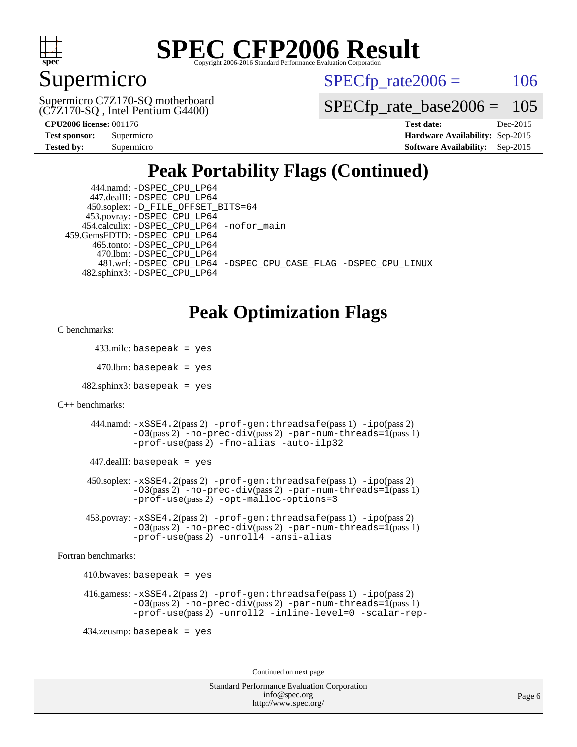

### Supermicro

 $SPECTp\_rate2006 = 106$ 

(C7Z170-SQ , Intel Pentium G4400) Supermicro C7Z170-SQ motherboard

[SPECfp\\_rate\\_base2006 =](http://www.spec.org/auto/cpu2006/Docs/result-fields.html#SPECfpratebase2006) 105

| Test sponsor: | Supermicro |
|---------------|------------|
| Tested by:    | Supermicro |

**[CPU2006 license:](http://www.spec.org/auto/cpu2006/Docs/result-fields.html#CPU2006license)** 001176 **[Test date:](http://www.spec.org/auto/cpu2006/Docs/result-fields.html#Testdate)** Dec-2015 **[Hardware Availability:](http://www.spec.org/auto/cpu2006/Docs/result-fields.html#HardwareAvailability)** Sep-2015 **[Software Availability:](http://www.spec.org/auto/cpu2006/Docs/result-fields.html#SoftwareAvailability)** Sep-2015

### **[Peak Portability Flags \(Continued\)](http://www.spec.org/auto/cpu2006/Docs/result-fields.html#PeakPortabilityFlags)**

| 444.namd: - DSPEC CPU LP64                                     |
|----------------------------------------------------------------|
| 447.dealII: -DSPEC CPU LP64                                    |
| 450.soplex: -D_FILE_OFFSET_BITS=64                             |
| 453.povray: -DSPEC_CPU_LP64                                    |
| 454.calculix: -DSPEC_CPU_LP64 -nofor_main                      |
| 459. GemsFDTD: - DSPEC CPU LP64                                |
| 465.tonto: -DSPEC CPU LP64                                     |
| 470.1bm: - DSPEC CPU LP64                                      |
| 481.wrf: -DSPEC_CPU_LP64 -DSPEC_CPU_CASE_FLAG -DSPEC_CPU_LINUX |
| 482.sphinx3: -DSPEC_CPU_LP64                                   |

#### **[Peak Optimization Flags](http://www.spec.org/auto/cpu2006/Docs/result-fields.html#PeakOptimizationFlags)**

```
C benchmarks:
```
433.milc: basepeak = yes

 $470.$ lbm: basepeak = yes

 $482$ .sphinx3: basepeak = yes

```
C++ benchmarks:
```
 444.namd: [-xSSE4.2](http://www.spec.org/cpu2006/results/res2016q1/cpu2006-20151217-38446.flags.html#user_peakPASS2_CXXFLAGSPASS2_LDFLAGS444_namd_f-xSSE42_f91528193cf0b216347adb8b939d4107)(pass 2) [-prof-gen:threadsafe](http://www.spec.org/cpu2006/results/res2016q1/cpu2006-20151217-38446.flags.html#user_peakPASS1_CXXFLAGSPASS1_LDFLAGS444_namd_prof_gen_21a26eb79f378b550acd7bec9fe4467a)(pass 1) [-ipo](http://www.spec.org/cpu2006/results/res2016q1/cpu2006-20151217-38446.flags.html#user_peakPASS2_CXXFLAGSPASS2_LDFLAGS444_namd_f-ipo)(pass 2) [-O3](http://www.spec.org/cpu2006/results/res2016q1/cpu2006-20151217-38446.flags.html#user_peakPASS2_CXXFLAGSPASS2_LDFLAGS444_namd_f-O3)(pass 2) [-no-prec-div](http://www.spec.org/cpu2006/results/res2016q1/cpu2006-20151217-38446.flags.html#user_peakPASS2_CXXFLAGSPASS2_LDFLAGS444_namd_f-no-prec-div)(pass 2) [-par-num-threads=1](http://www.spec.org/cpu2006/results/res2016q1/cpu2006-20151217-38446.flags.html#user_peakPASS1_CXXFLAGSPASS1_LDFLAGS444_namd_par_num_threads_786a6ff141b4e9e90432e998842df6c2)(pass 1) [-prof-use](http://www.spec.org/cpu2006/results/res2016q1/cpu2006-20151217-38446.flags.html#user_peakPASS2_CXXFLAGSPASS2_LDFLAGS444_namd_prof_use_bccf7792157ff70d64e32fe3e1250b55)(pass 2) [-fno-alias](http://www.spec.org/cpu2006/results/res2016q1/cpu2006-20151217-38446.flags.html#user_peakCXXOPTIMIZE444_namd_f-no-alias_694e77f6c5a51e658e82ccff53a9e63a) [-auto-ilp32](http://www.spec.org/cpu2006/results/res2016q1/cpu2006-20151217-38446.flags.html#user_peakCXXOPTIMIZE444_namd_f-auto-ilp32)

447.dealII: basepeak = yes

 450.soplex: [-xSSE4.2](http://www.spec.org/cpu2006/results/res2016q1/cpu2006-20151217-38446.flags.html#user_peakPASS2_CXXFLAGSPASS2_LDFLAGS450_soplex_f-xSSE42_f91528193cf0b216347adb8b939d4107)(pass 2) [-prof-gen:threadsafe](http://www.spec.org/cpu2006/results/res2016q1/cpu2006-20151217-38446.flags.html#user_peakPASS1_CXXFLAGSPASS1_LDFLAGS450_soplex_prof_gen_21a26eb79f378b550acd7bec9fe4467a)(pass 1) [-ipo](http://www.spec.org/cpu2006/results/res2016q1/cpu2006-20151217-38446.flags.html#user_peakPASS2_CXXFLAGSPASS2_LDFLAGS450_soplex_f-ipo)(pass 2) [-O3](http://www.spec.org/cpu2006/results/res2016q1/cpu2006-20151217-38446.flags.html#user_peakPASS2_CXXFLAGSPASS2_LDFLAGS450_soplex_f-O3)(pass 2) [-no-prec-div](http://www.spec.org/cpu2006/results/res2016q1/cpu2006-20151217-38446.flags.html#user_peakPASS2_CXXFLAGSPASS2_LDFLAGS450_soplex_f-no-prec-div)(pass 2) [-par-num-threads=1](http://www.spec.org/cpu2006/results/res2016q1/cpu2006-20151217-38446.flags.html#user_peakPASS1_CXXFLAGSPASS1_LDFLAGS450_soplex_par_num_threads_786a6ff141b4e9e90432e998842df6c2)(pass 1) [-prof-use](http://www.spec.org/cpu2006/results/res2016q1/cpu2006-20151217-38446.flags.html#user_peakPASS2_CXXFLAGSPASS2_LDFLAGS450_soplex_prof_use_bccf7792157ff70d64e32fe3e1250b55)(pass 2) [-opt-malloc-options=3](http://www.spec.org/cpu2006/results/res2016q1/cpu2006-20151217-38446.flags.html#user_peakOPTIMIZE450_soplex_f-opt-malloc-options_13ab9b803cf986b4ee62f0a5998c2238)

 453.povray: [-xSSE4.2](http://www.spec.org/cpu2006/results/res2016q1/cpu2006-20151217-38446.flags.html#user_peakPASS2_CXXFLAGSPASS2_LDFLAGS453_povray_f-xSSE42_f91528193cf0b216347adb8b939d4107)(pass 2) [-prof-gen:threadsafe](http://www.spec.org/cpu2006/results/res2016q1/cpu2006-20151217-38446.flags.html#user_peakPASS1_CXXFLAGSPASS1_LDFLAGS453_povray_prof_gen_21a26eb79f378b550acd7bec9fe4467a)(pass 1) [-ipo](http://www.spec.org/cpu2006/results/res2016q1/cpu2006-20151217-38446.flags.html#user_peakPASS2_CXXFLAGSPASS2_LDFLAGS453_povray_f-ipo)(pass 2) [-O3](http://www.spec.org/cpu2006/results/res2016q1/cpu2006-20151217-38446.flags.html#user_peakPASS2_CXXFLAGSPASS2_LDFLAGS453_povray_f-O3)(pass 2) [-no-prec-div](http://www.spec.org/cpu2006/results/res2016q1/cpu2006-20151217-38446.flags.html#user_peakPASS2_CXXFLAGSPASS2_LDFLAGS453_povray_f-no-prec-div)(pass 2) [-par-num-threads=1](http://www.spec.org/cpu2006/results/res2016q1/cpu2006-20151217-38446.flags.html#user_peakPASS1_CXXFLAGSPASS1_LDFLAGS453_povray_par_num_threads_786a6ff141b4e9e90432e998842df6c2)(pass 1) [-prof-use](http://www.spec.org/cpu2006/results/res2016q1/cpu2006-20151217-38446.flags.html#user_peakPASS2_CXXFLAGSPASS2_LDFLAGS453_povray_prof_use_bccf7792157ff70d64e32fe3e1250b55)(pass 2) [-unroll4](http://www.spec.org/cpu2006/results/res2016q1/cpu2006-20151217-38446.flags.html#user_peakCXXOPTIMIZE453_povray_f-unroll_4e5e4ed65b7fd20bdcd365bec371b81f) [-ansi-alias](http://www.spec.org/cpu2006/results/res2016q1/cpu2006-20151217-38446.flags.html#user_peakCXXOPTIMIZE453_povray_f-ansi-alias)

[Fortran benchmarks](http://www.spec.org/auto/cpu2006/Docs/result-fields.html#Fortranbenchmarks):

 $410.bwaves: basepeak = yes$ 

```
 416.gamess: -xSSE4.2(pass 2) -prof-gen:threadsafe(pass 1) -ipo(pass 2)
-O3(pass 2) -no-prec-div(pass 2) -par-num-threads=1(pass 1)
-prof-use(pass 2) -unroll2 -inline-level=0 -scalar-rep-
```
434.zeusmp: basepeak = yes

Continued on next page